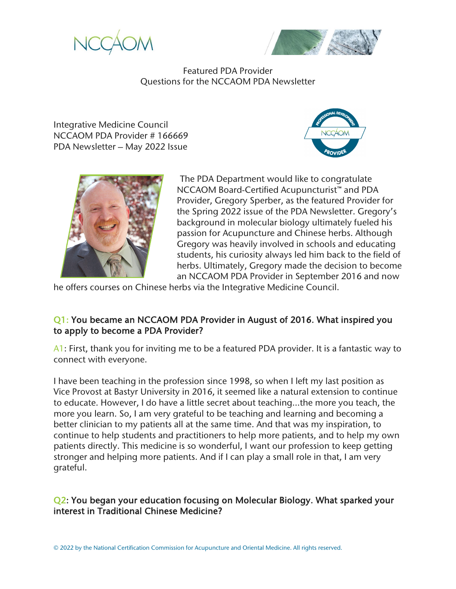



Featured PDA Provider Questions for the NCCAOM PDA Newsletter

Integrative Medicine Council NCCAOM PDA Provider # 166669 PDA Newsletter – May 2022 Issue





The PDA Department would like to congratulate NCCAOM Board-Certified Acupuncturist™ and PDA Provider, Gregory Sperber, as the featured Provider for the Spring 2022 issue of the PDA Newsletter. Gregory's background in molecular biology ultimately fueled his passion for Acupuncture and Chinese herbs. Although Gregory was heavily involved in schools and educating students, his curiosity always led him back to the field of herbs. Ultimately, Gregory made the decision to become an NCCAOM PDA Provider in September 2016 and now

he offers courses on Chinese herbs via the Integrative Medicine Council.

## Q1: You became an NCCAOM PDA Provider in August of 2016. What inspired you to apply to become a PDA Provider?

A1: First, thank you for inviting me to be a featured PDA provider. It is a fantastic way to connect with everyone.

I have been teaching in the profession since 1998, so when I left my last position as Vice Provost at Bastyr University in 2016, it seemed like a natural extension to continue to educate. However, I do have a little secret about teaching…the more you teach, the more you learn. So, I am very grateful to be teaching and learning and becoming a better clinician to my patients all at the same time. And that was my inspiration, to continue to help students and practitioners to help more patients, and to help my own patients directly. This medicine is so wonderful, I want our profession to keep getting stronger and helping more patients. And if I can play a small role in that, I am very grateful.

# Q2: You began your education focusing on Molecular Biology. What sparked your interest in Traditional Chinese Medicine?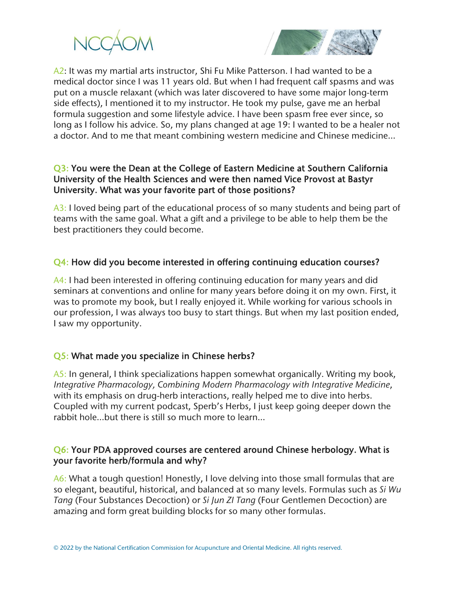



A2: It was my martial arts instructor, Shi Fu Mike Patterson. I had wanted to be a medical doctor since I was 11 years old. But when I had frequent calf spasms and was put on a muscle relaxant (which was later discovered to have some major long-term side effects), I mentioned it to my instructor. He took my pulse, gave me an herbal formula suggestion and some lifestyle advice. I have been spasm free ever since, so long as I follow his advice. So, my plans changed at age 19: I wanted to be a healer not a doctor. And to me that meant combining western medicine and Chinese medicine…

#### Q3: You were the Dean at the College of Eastern Medicine at Southern California University of the Health Sciences and were then named Vice Provost at Bastyr University. What was your favorite part of those positions?

A3: I loved being part of the educational process of so many students and being part of teams with the same goal. What a gift and a privilege to be able to help them be the best practitioners they could become.

## Q4: How did you become interested in offering continuing education courses?

A4: I had been interested in offering continuing education for many years and did seminars at conventions and online for many years before doing it on my own. First, it was to promote my book, but I really enjoyed it. While working for various schools in our profession, I was always too busy to start things. But when my last position ended, I saw my opportunity.

# Q5: What made you specialize in Chinese herbs?

A5: In general, I think specializations happen somewhat organically. Writing my book, *Integrative Pharmacology, Combining Modern Pharmacology with Integrative Medicine*, with its emphasis on drug-herb interactions, really helped me to dive into herbs. Coupled with my current podcast, Sperb's Herbs, I just keep going deeper down the rabbit hole…but there is still so much more to learn…

### Q6: Your PDA approved courses are centered around Chinese herbology. What is your favorite herb/formula and why?

A6: What a tough question! Honestly, I love delving into those small formulas that are so elegant, beautiful, historical, and balanced at so many levels. Formulas such as *Si Wu Tang* (Four Substances Decoction) or *Si Jun ZI Tang* (Four Gentlemen Decoction) are amazing and form great building blocks for so many other formulas.